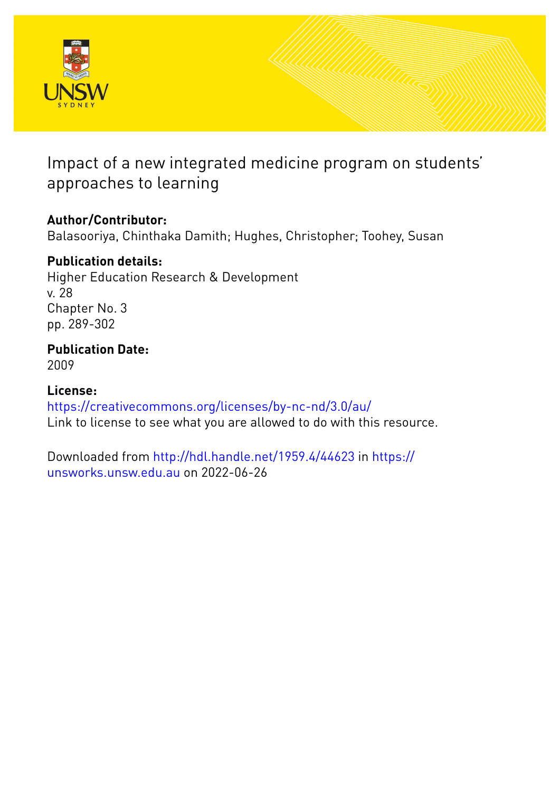

# Impact of a new integrated medicine program on students' approaches to learning

# **Author/Contributor:**

Balasooriya, Chinthaka Damith; Hughes, Christopher; Toohey, Susan

# **Publication details:**

Higher Education Research & Development v. 28 Chapter No. 3 pp. 289-302

**Publication Date:** 2009

# **License:**

<https://creativecommons.org/licenses/by-nc-nd/3.0/au/> Link to license to see what you are allowed to do with this resource.

Downloaded from <http://hdl.handle.net/1959.4/44623> in [https://](https://unsworks.unsw.edu.au) [unsworks.unsw.edu.au](https://unsworks.unsw.edu.au) on 2022-06-26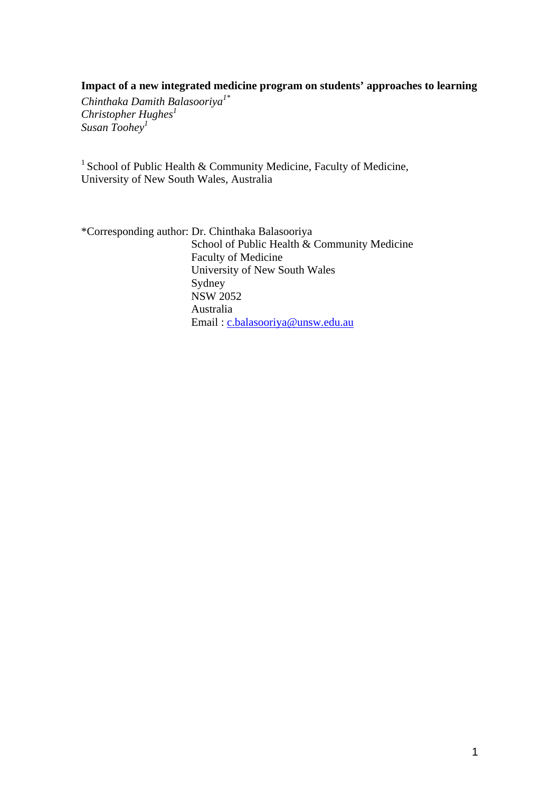## **Impact of a new integrated medicine program on students' approaches to learning**

*Chinthaka Damith Balasooriya1\* Christopher Hughes<sup>1</sup> Susan Toohey<sup>1</sup>*

<sup>1</sup> School of Public Health & Community Medicine, Faculty of Medicine, University of New South Wales, Australia

\*Corresponding author: Dr. Chinthaka Balasooriya School of Public Health & Community Medicine Faculty of Medicine University of New South Wales Sydney NSW 2052 Australia Email : [c.balasooriya@unsw.edu.au](mailto:c.balasooriya@unsw.edu.au)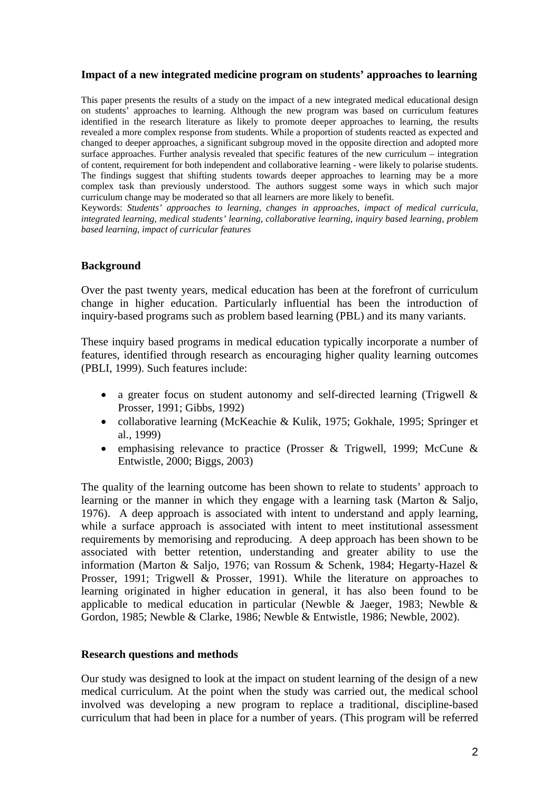#### **Impact of a new integrated medicine program on students' approaches to learning**

This paper presents the results of a study on the impact of a new integrated medical educational design on students' approaches to learning. Although the new program was based on curriculum features identified in the research literature as likely to promote deeper approaches to learning, the results revealed a more complex response from students. While a proportion of students reacted as expected and changed to deeper approaches, a significant subgroup moved in the opposite direction and adopted more surface approaches. Further analysis revealed that specific features of the new curriculum – integration of content, requirement for both independent and collaborative learning - were likely to polarise students. The findings suggest that shifting students towards deeper approaches to learning may be a more complex task than previously understood. The authors suggest some ways in which such major curriculum change may be moderated so that all learners are more likely to benefit.

Keywords: *Students' approaches to learning, changes in approaches, impact of medical curricula, integrated learning, medical students' learning, collaborative learning, inquiry based learning, problem based learning, impact of curricular features*

### **Background**

Over the past twenty years, medical education has been at the forefront of curriculum change in higher education. Particularly influential has been the introduction of inquiry-based programs such as problem based learning (PBL) and its many variants.

These inquiry based programs in medical education typically incorporate a number of features, identified through research as encouraging higher quality learning outcomes (PBLI, 1999). Such features include:

- a greater focus on student autonomy and self-directed learning (Trigwell & Prosser, 1991; Gibbs, 1992)
- collaborative learning (McKeachie & Kulik, 1975; Gokhale, 1995; Springer et al., 1999)
- emphasising relevance to practice (Prosser & Trigwell, 1999; McCune & Entwistle, 2000; Biggs, 2003)

The quality of the learning outcome has been shown to relate to students' approach to learning or the manner in which they engage with a learning task (Marton & Saljo, 1976). A deep approach is associated with intent to understand and apply learning, while a surface approach is associated with intent to meet institutional assessment requirements by memorising and reproducing. A deep approach has been shown to be associated with better retention, understanding and greater ability to use the information (Marton & Saljo, 1976; van Rossum & Schenk, 1984; Hegarty-Hazel & Prosser, 1991; Trigwell & Prosser, 1991). While the literature on approaches to learning originated in higher education in general, it has also been found to be applicable to medical education in particular (Newble & Jaeger, 1983; Newble & Gordon, 1985; Newble & Clarke, 1986; Newble & Entwistle, 1986; Newble, 2002).

#### **Research questions and methods**

Our study was designed to look at the impact on student learning of the design of a new medical curriculum. At the point when the study was carried out, the medical school involved was developing a new program to replace a traditional, discipline-based curriculum that had been in place for a number of years. (This program will be referred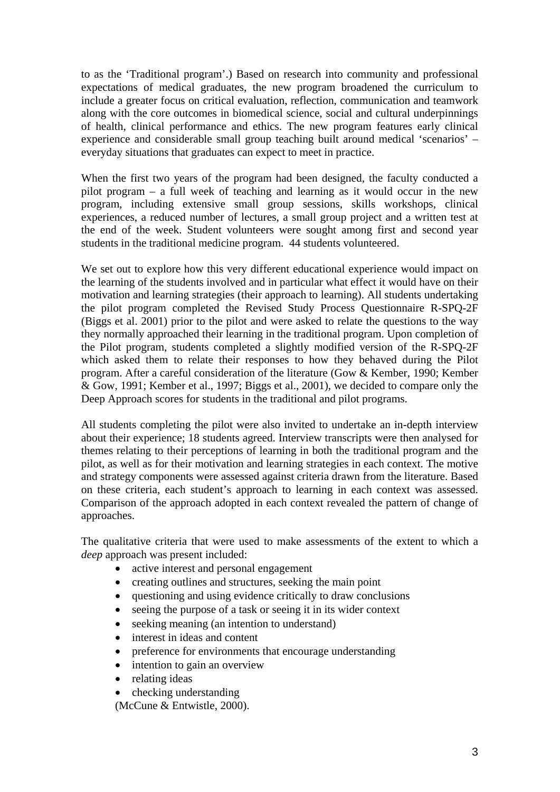to as the 'Traditional program'.) Based on research into community and professional expectations of medical graduates, the new program broadened the curriculum to include a greater focus on critical evaluation, reflection, communication and teamwork along with the core outcomes in biomedical science, social and cultural underpinnings of health, clinical performance and ethics. The new program features early clinical experience and considerable small group teaching built around medical 'scenarios' – everyday situations that graduates can expect to meet in practice.

When the first two years of the program had been designed, the faculty conducted a pilot program – a full week of teaching and learning as it would occur in the new program, including extensive small group sessions, skills workshops, clinical experiences, a reduced number of lectures, a small group project and a written test at the end of the week. Student volunteers were sought among first and second year students in the traditional medicine program. 44 students volunteered.

We set out to explore how this very different educational experience would impact on the learning of the students involved and in particular what effect it would have on their motivation and learning strategies (their approach to learning). All students undertaking the pilot program completed the Revised Study Process Questionnaire R-SPQ-2F (Biggs et al. 2001) prior to the pilot and were asked to relate the questions to the way they normally approached their learning in the traditional program. Upon completion of the Pilot program, students completed a slightly modified version of the R-SPQ-2F which asked them to relate their responses to how they behaved during the Pilot program. After a careful consideration of the literature (Gow & Kember, 1990; Kember & Gow, 1991; Kember et al., 1997; Biggs et al., 2001), we decided to compare only the Deep Approach scores for students in the traditional and pilot programs.

All students completing the pilot were also invited to undertake an in-depth interview about their experience; 18 students agreed. Interview transcripts were then analysed for themes relating to their perceptions of learning in both the traditional program and the pilot, as well as for their motivation and learning strategies in each context. The motive and strategy components were assessed against criteria drawn from the literature. Based on these criteria, each student's approach to learning in each context was assessed. Comparison of the approach adopted in each context revealed the pattern of change of approaches.

The qualitative criteria that were used to make assessments of the extent to which a *deep* approach was present included:

- active interest and personal engagement
- creating outlines and structures, seeking the main point
- questioning and using evidence critically to draw conclusions
- seeing the purpose of a task or seeing it in its wider context
- seeking meaning (an intention to understand)
- interest in ideas and content
- preference for environments that encourage understanding
- intention to gain an overview
- relating ideas
- checking understanding

(McCune & Entwistle, 2000).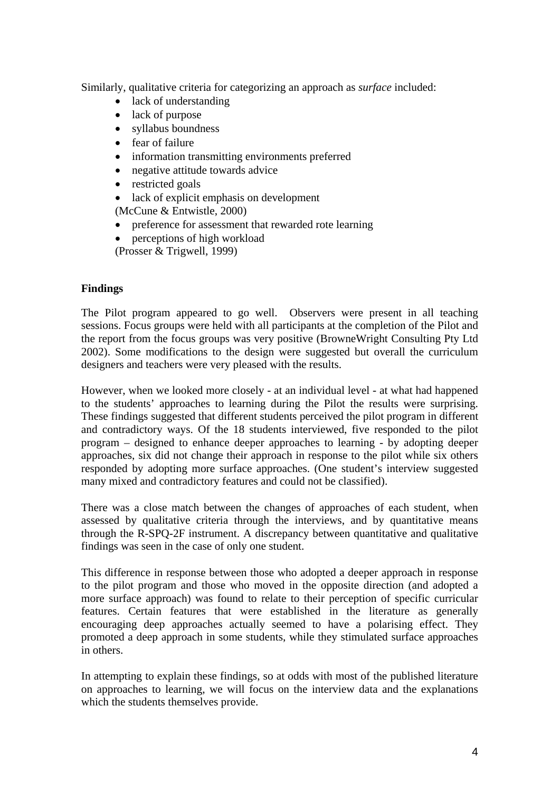Similarly, qualitative criteria for categorizing an approach as *surface* included:

- lack of understanding
- lack of purpose
- syllabus boundness
- fear of failure
- information transmitting environments preferred
- negative attitude towards advice
- restricted goals
- lack of explicit emphasis on development
- (McCune & Entwistle, 2000)
- preference for assessment that rewarded rote learning
- perceptions of high workload

(Prosser & Trigwell, 1999)

### **Findings**

The Pilot program appeared to go well. Observers were present in all teaching sessions. Focus groups were held with all participants at the completion of the Pilot and the report from the focus groups was very positive (BrowneWright Consulting Pty Ltd 2002). Some modifications to the design were suggested but overall the curriculum designers and teachers were very pleased with the results.

However, when we looked more closely - at an individual level - at what had happened to the students' approaches to learning during the Pilot the results were surprising. These findings suggested that different students perceived the pilot program in different and contradictory ways. Of the 18 students interviewed, five responded to the pilot program – designed to enhance deeper approaches to learning - by adopting deeper approaches, six did not change their approach in response to the pilot while six others responded by adopting more surface approaches. (One student's interview suggested many mixed and contradictory features and could not be classified).

There was a close match between the changes of approaches of each student, when assessed by qualitative criteria through the interviews, and by quantitative means through the R-SPQ-2F instrument. A discrepancy between quantitative and qualitative findings was seen in the case of only one student.

This difference in response between those who adopted a deeper approach in response to the pilot program and those who moved in the opposite direction (and adopted a more surface approach) was found to relate to their perception of specific curricular features. Certain features that were established in the literature as generally encouraging deep approaches actually seemed to have a polarising effect. They promoted a deep approach in some students, while they stimulated surface approaches in others.

In attempting to explain these findings, so at odds with most of the published literature on approaches to learning, we will focus on the interview data and the explanations which the students themselves provide.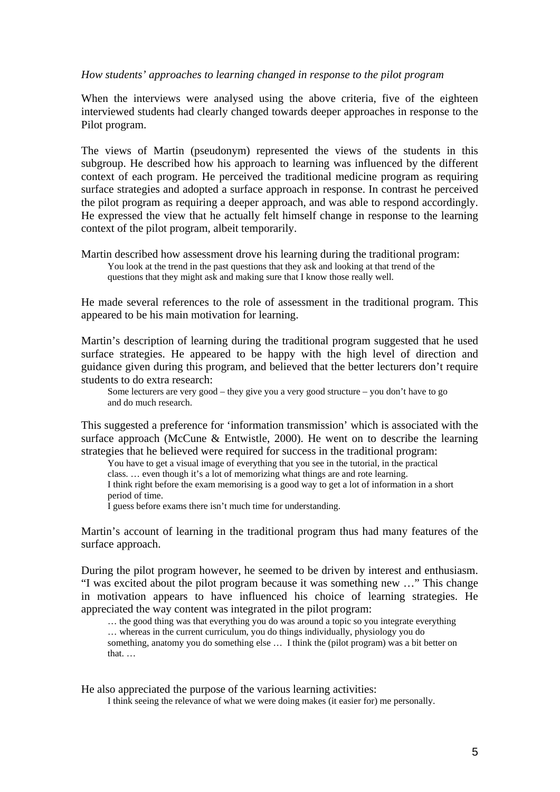#### *How students' approaches to learning changed in response to the pilot program*

When the interviews were analysed using the above criteria, five of the eighteen interviewed students had clearly changed towards deeper approaches in response to the Pilot program.

The views of Martin (pseudonym) represented the views of the students in this subgroup. He described how his approach to learning was influenced by the different context of each program. He perceived the traditional medicine program as requiring surface strategies and adopted a surface approach in response. In contrast he perceived the pilot program as requiring a deeper approach, and was able to respond accordingly. He expressed the view that he actually felt himself change in response to the learning context of the pilot program, albeit temporarily.

He made several references to the role of assessment in the traditional program. This appeared to be his main motivation for learning.

Martin's description of learning during the traditional program suggested that he used surface strategies. He appeared to be happy with the high level of direction and guidance given during this program, and believed that the better lecturers don't require students to do extra research:

Some lecturers are very good – they give you a very good structure – you don't have to go and do much research.

This suggested a preference for 'information transmission' which is associated with the surface approach (McCune & Entwistle, 2000). He went on to describe the learning strategies that he believed were required for success in the traditional program:

You have to get a visual image of everything that you see in the tutorial, in the practical class. … even though it's a lot of memorizing what things are and rote learning. I think right before the exam memorising is a good way to get a lot of information in a short period of time. I guess before exams there isn't much time for understanding.

Martin's account of learning in the traditional program thus had many features of the surface approach.

During the pilot program however, he seemed to be driven by interest and enthusiasm. "I was excited about the pilot program because it was something new …" This change in motivation appears to have influenced his choice of learning strategies. He appreciated the way content was integrated in the pilot program:

… the good thing was that everything you do was around a topic so you integrate everything … whereas in the current curriculum, you do things individually, physiology you do something, anatomy you do something else … I think the (pilot program) was a bit better on that. …

He also appreciated the purpose of the various learning activities:

I think seeing the relevance of what we were doing makes (it easier for) me personally.

Martin described how assessment drove his learning during the traditional program: You look at the trend in the past questions that they ask and looking at that trend of the questions that they might ask and making sure that I know those really well.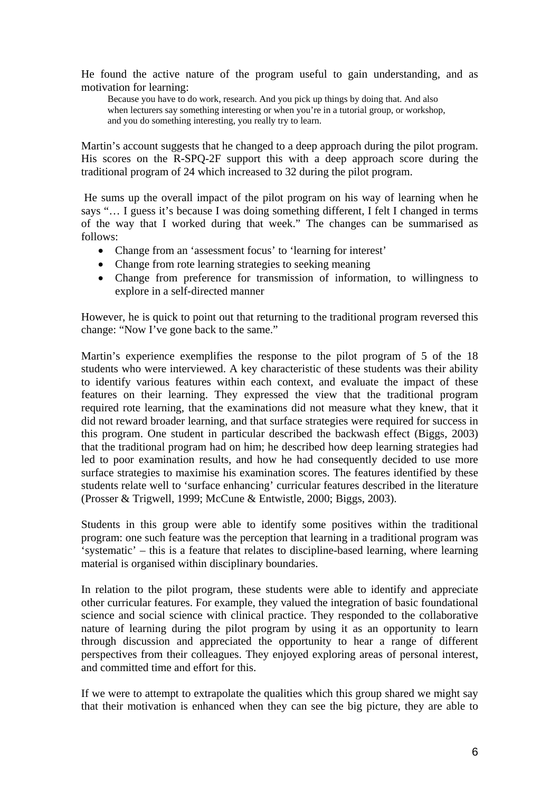He found the active nature of the program useful to gain understanding, and as motivation for learning:

Because you have to do work, research. And you pick up things by doing that. And also when lecturers say something interesting or when you're in a tutorial group, or workshop, and you do something interesting, you really try to learn.

Martin's account suggests that he changed to a deep approach during the pilot program. His scores on the R-SPQ-2F support this with a deep approach score during the traditional program of 24 which increased to 32 during the pilot program.

 He sums up the overall impact of the pilot program on his way of learning when he says "… I guess it's because I was doing something different, I felt I changed in terms of the way that I worked during that week." The changes can be summarised as follows:

- Change from an 'assessment focus' to 'learning for interest'
- Change from rote learning strategies to seeking meaning
- Change from preference for transmission of information, to willingness to explore in a self-directed manner

However, he is quick to point out that returning to the traditional program reversed this change: "Now I've gone back to the same."

Martin's experience exemplifies the response to the pilot program of 5 of the 18 students who were interviewed. A key characteristic of these students was their ability to identify various features within each context, and evaluate the impact of these features on their learning. They expressed the view that the traditional program required rote learning, that the examinations did not measure what they knew, that it did not reward broader learning, and that surface strategies were required for success in this program. One student in particular described the backwash effect (Biggs, 2003) that the traditional program had on him; he described how deep learning strategies had led to poor examination results, and how he had consequently decided to use more surface strategies to maximise his examination scores. The features identified by these students relate well to 'surface enhancing' curricular features described in the literature (Prosser & Trigwell, 1999; McCune & Entwistle, 2000; Biggs, 2003).

Students in this group were able to identify some positives within the traditional program: one such feature was the perception that learning in a traditional program was 'systematic' – this is a feature that relates to discipline-based learning, where learning material is organised within disciplinary boundaries.

In relation to the pilot program, these students were able to identify and appreciate other curricular features. For example, they valued the integration of basic foundational science and social science with clinical practice. They responded to the collaborative nature of learning during the pilot program by using it as an opportunity to learn through discussion and appreciated the opportunity to hear a range of different perspectives from their colleagues. They enjoyed exploring areas of personal interest, and committed time and effort for this.

If we were to attempt to extrapolate the qualities which this group shared we might say that their motivation is enhanced when they can see the big picture, they are able to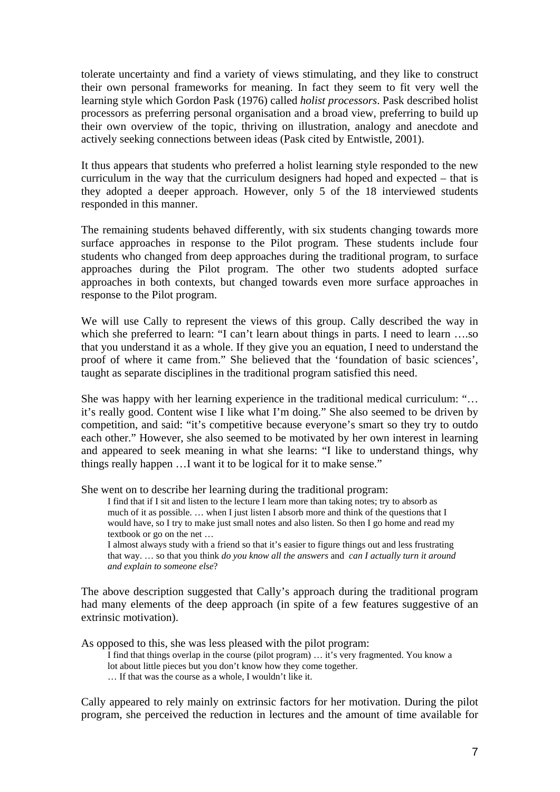tolerate uncertainty and find a variety of views stimulating, and they like to construct their own personal frameworks for meaning. In fact they seem to fit very well the learning style which Gordon Pask (1976) called *holist processors*. Pask described holist processors as preferring personal organisation and a broad view, preferring to build up their own overview of the topic, thriving on illustration, analogy and anecdote and actively seeking connections between ideas (Pask cited by Entwistle, 2001).

It thus appears that students who preferred a holist learning style responded to the new curriculum in the way that the curriculum designers had hoped and expected – that is they adopted a deeper approach. However, only 5 of the 18 interviewed students responded in this manner.

The remaining students behaved differently, with six students changing towards more surface approaches in response to the Pilot program. These students include four students who changed from deep approaches during the traditional program, to surface approaches during the Pilot program. The other two students adopted surface approaches in both contexts, but changed towards even more surface approaches in response to the Pilot program.

We will use Cally to represent the views of this group. Cally described the way in which she preferred to learn: "I can't learn about things in parts. I need to learn ....so that you understand it as a whole. If they give you an equation, I need to understand the proof of where it came from." She believed that the 'foundation of basic sciences', taught as separate disciplines in the traditional program satisfied this need.

She was happy with her learning experience in the traditional medical curriculum: "… it's really good. Content wise I like what I'm doing." She also seemed to be driven by competition, and said: "it's competitive because everyone's smart so they try to outdo each other." However, she also seemed to be motivated by her own interest in learning and appeared to seek meaning in what she learns: "I like to understand things, why things really happen …I want it to be logical for it to make sense."

She went on to describe her learning during the traditional program:

I find that if I sit and listen to the lecture I learn more than taking notes; try to absorb as much of it as possible. … when I just listen I absorb more and think of the questions that I would have, so I try to make just small notes and also listen. So then I go home and read my textbook or go on the net …

I almost always study with a friend so that it's easier to figure things out and less frustrating that way. … so that you think *do you know all the answers* and *can I actually turn it around and explain to someone else*?

The above description suggested that Cally's approach during the traditional program had many elements of the deep approach (in spite of a few features suggestive of an extrinsic motivation).

As opposed to this, she was less pleased with the pilot program:

I find that things overlap in the course (pilot program)  $\ldots$  it's very fragmented. You know a

lot about little pieces but you don't know how they come together.

… If that was the course as a whole, I wouldn't like it.

Cally appeared to rely mainly on extrinsic factors for her motivation. During the pilot program, she perceived the reduction in lectures and the amount of time available for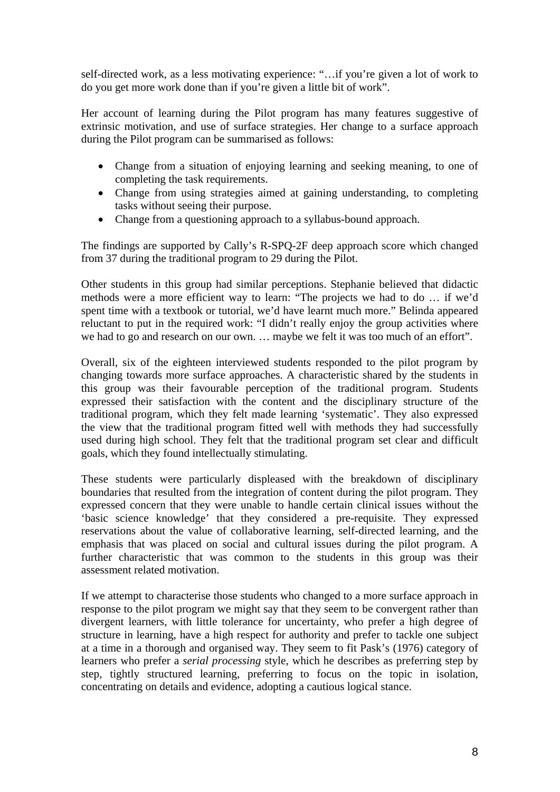self-directed work, as a less motivating experience: "…if you're given a lot of work to do you get more work done than if you're given a little bit of work".

Her account of learning during the Pilot program has many features suggestive of extrinsic motivation, and use of surface strategies. Her change to a surface approach during the Pilot program can be summarised as follows:

- Change from a situation of enjoying learning and seeking meaning, to one of completing the task requirements.
- Change from using strategies aimed at gaining understanding, to completing tasks without seeing their purpose.
- Change from a questioning approach to a syllabus-bound approach.

The findings are supported by Cally's R-SPQ-2F deep approach score which changed from 37 during the traditional program to 29 during the Pilot.

Other students in this group had similar perceptions. Stephanie believed that didactic methods were a more efficient way to learn: "The projects we had to do … if we'd spent time with a textbook or tutorial, we'd have learnt much more." Belinda appeared reluctant to put in the required work: "I didn't really enjoy the group activities where we had to go and research on our own. … maybe we felt it was too much of an effort".

Overall, six of the eighteen interviewed students responded to the pilot program by changing towards more surface approaches. A characteristic shared by the students in this group was their favourable perception of the traditional program. Students expressed their satisfaction with the content and the disciplinary structure of the traditional program, which they felt made learning 'systematic'. They also expressed the view that the traditional program fitted well with methods they had successfully used during high school. They felt that the traditional program set clear and difficult goals, which they found intellectually stimulating.

These students were particularly displeased with the breakdown of disciplinary boundaries that resulted from the integration of content during the pilot program. They expressed concern that they were unable to handle certain clinical issues without the 'basic science knowledge' that they considered a pre-requisite. They expressed reservations about the value of collaborative learning, self-directed learning, and the emphasis that was placed on social and cultural issues during the pilot program. A further characteristic that was common to the students in this group was their assessment related motivation.

If we attempt to characterise those students who changed to a more surface approach in response to the pilot program we might say that they seem to be convergent rather than divergent learners, with little tolerance for uncertainty, who prefer a high degree of structure in learning, have a high respect for authority and prefer to tackle one subject at a time in a thorough and organised way. They seem to fit Pask's (1976) category of learners who prefer a *serial processing* style, which he describes as preferring step by step, tightly structured learning, preferring to focus on the topic in isolation, concentrating on details and evidence, adopting a cautious logical stance.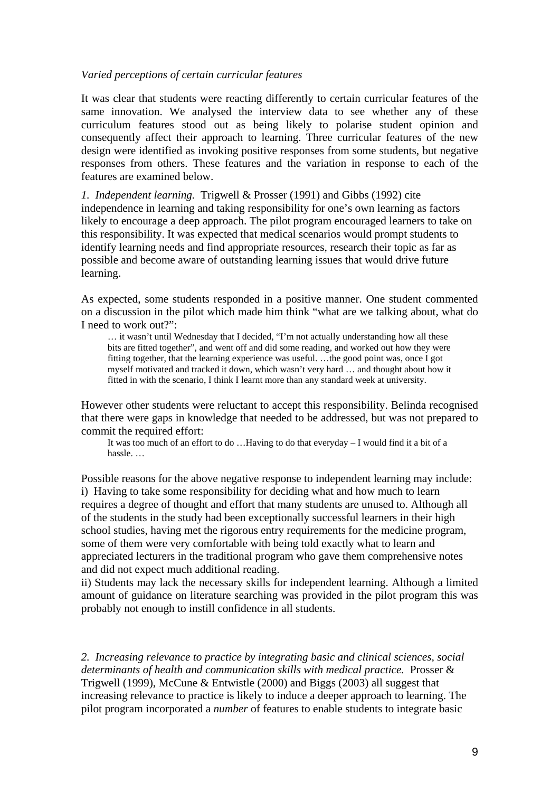#### *Varied perceptions of certain curricular features*

It was clear that students were reacting differently to certain curricular features of the same innovation. We analysed the interview data to see whether any of these curriculum features stood out as being likely to polarise student opinion and consequently affect their approach to learning. Three curricular features of the new design were identified as invoking positive responses from some students, but negative responses from others. These features and the variation in response to each of the features are examined below.

*1. Independent learning.* Trigwell & Prosser (1991) and Gibbs (1992) cite independence in learning and taking responsibility for one's own learning as factors likely to encourage a deep approach. The pilot program encouraged learners to take on this responsibility. It was expected that medical scenarios would prompt students to identify learning needs and find appropriate resources, research their topic as far as possible and become aware of outstanding learning issues that would drive future learning.

As expected, some students responded in a positive manner. One student commented on a discussion in the pilot which made him think "what are we talking about, what do I need to work out?":

… it wasn't until Wednesday that I decided, "I'm not actually understanding how all these bits are fitted together", and went off and did some reading, and worked out how they were fitting together, that the learning experience was useful. …the good point was, once I got myself motivated and tracked it down, which wasn't very hard … and thought about how it fitted in with the scenario, I think I learnt more than any standard week at university.

However other students were reluctant to accept this responsibility. Belinda recognised that there were gaps in knowledge that needed to be addressed, but was not prepared to commit the required effort:

It was too much of an effort to do ... Having to do that everyday  $- I$  would find it a bit of a hassle. …

Possible reasons for the above negative response to independent learning may include: i) Having to take some responsibility for deciding what and how much to learn requires a degree of thought and effort that many students are unused to. Although all of the students in the study had been exceptionally successful learners in their high school studies, having met the rigorous entry requirements for the medicine program, some of them were very comfortable with being told exactly what to learn and appreciated lecturers in the traditional program who gave them comprehensive notes and did not expect much additional reading.

ii) Students may lack the necessary skills for independent learning. Although a limited amount of guidance on literature searching was provided in the pilot program this was probably not enough to instill confidence in all students.

*2. Increasing relevance to practice by integrating basic and clinical sciences, social determinants of health and communication skills with medical practice.* Prosser & Trigwell (1999), McCune & Entwistle (2000) and Biggs (2003) all suggest that increasing relevance to practice is likely to induce a deeper approach to learning. The pilot program incorporated a *number* of features to enable students to integrate basic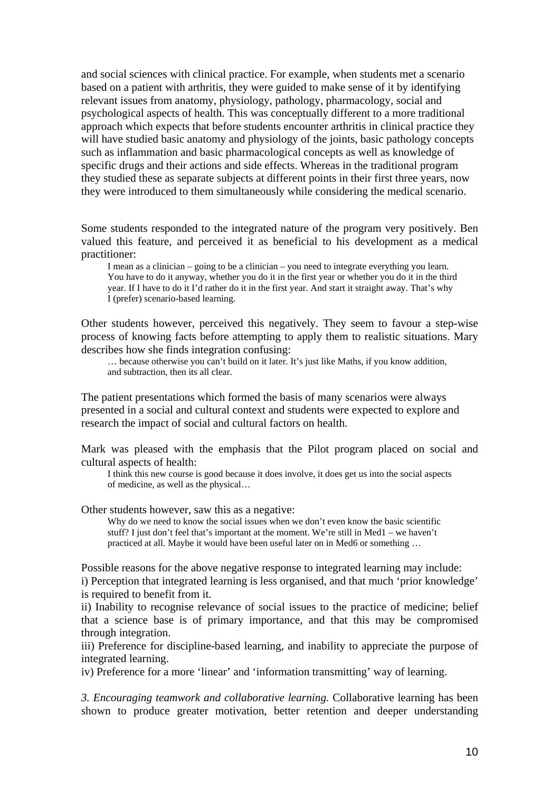and social sciences with clinical practice. For example, when students met a scenario based on a patient with arthritis, they were guided to make sense of it by identifying relevant issues from anatomy, physiology, pathology, pharmacology, social and psychological aspects of health. This was conceptually different to a more traditional approach which expects that before students encounter arthritis in clinical practice they will have studied basic anatomy and physiology of the joints, basic pathology concepts such as inflammation and basic pharmacological concepts as well as knowledge of specific drugs and their actions and side effects. Whereas in the traditional program they studied these as separate subjects at different points in their first three years, now they were introduced to them simultaneously while considering the medical scenario.

Some students responded to the integrated nature of the program very positively. Ben valued this feature, and perceived it as beneficial to his development as a medical practitioner:

I mean as a clinician – going to be a clinician – you need to integrate everything you learn. You have to do it anyway, whether you do it in the first year or whether you do it in the third year. If I have to do it I'd rather do it in the first year. And start it straight away. That's why I (prefer) scenario-based learning.

Other students however, perceived this negatively. They seem to favour a step-wise process of knowing facts before attempting to apply them to realistic situations. Mary describes how she finds integration confusing:

… because otherwise you can't build on it later. It's just like Maths, if you know addition, and subtraction, then its all clear.

The patient presentations which formed the basis of many scenarios were always presented in a social and cultural context and students were expected to explore and research the impact of social and cultural factors on health.

Mark was pleased with the emphasis that the Pilot program placed on social and cultural aspects of health:

I think this new course is good because it does involve, it does get us into the social aspects of medicine, as well as the physical…

Other students however, saw this as a negative:

Why do we need to know the social issues when we don't even know the basic scientific stuff? I just don't feel that's important at the moment. We're still in Med1 – we haven't practiced at all. Maybe it would have been useful later on in Med6 or something …

Possible reasons for the above negative response to integrated learning may include: i) Perception that integrated learning is less organised, and that much 'prior knowledge' is required to benefit from it.

ii) Inability to recognise relevance of social issues to the practice of medicine; belief that a science base is of primary importance, and that this may be compromised through integration.

iii) Preference for discipline-based learning, and inability to appreciate the purpose of integrated learning.

iv) Preference for a more 'linear' and 'information transmitting' way of learning.

*3. Encouraging teamwork and collaborative learning.* Collaborative learning has been shown to produce greater motivation, better retention and deeper understanding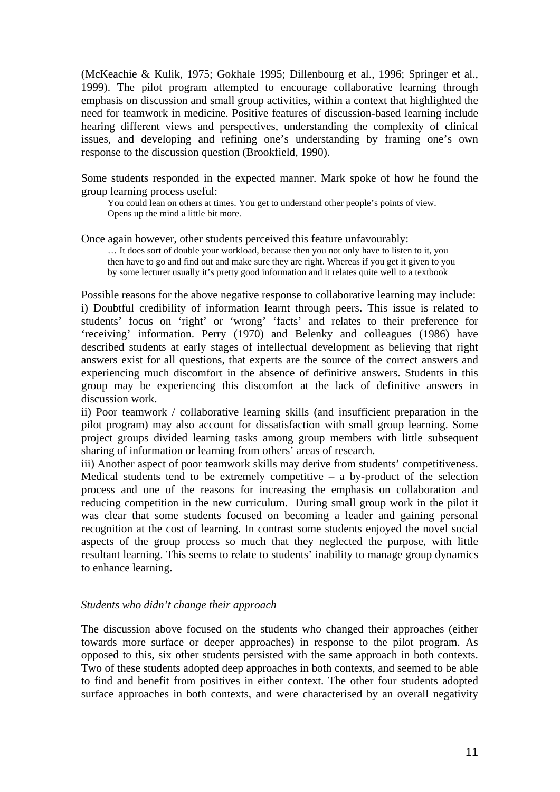(McKeachie & Kulik, 1975; Gokhale 1995; Dillenbourg et al., 1996; Springer et al., 1999). The pilot program attempted to encourage collaborative learning through emphasis on discussion and small group activities, within a context that highlighted the need for teamwork in medicine. Positive features of discussion-based learning include hearing different views and perspectives, understanding the complexity of clinical issues, and developing and refining one's understanding by framing one's own response to the discussion question (Brookfield, 1990).

Some students responded in the expected manner. Mark spoke of how he found the group learning process useful:

You could lean on others at times. You get to understand other people's points of view. Opens up the mind a little bit more.

Once again however, other students perceived this feature unfavourably:

… It does sort of double your workload, because then you not only have to listen to it, you then have to go and find out and make sure they are right. Whereas if you get it given to you by some lecturer usually it's pretty good information and it relates quite well to a textbook

Possible reasons for the above negative response to collaborative learning may include: i) Doubtful credibility of information learnt through peers. This issue is related to students' focus on 'right' or 'wrong' 'facts' and relates to their preference for 'receiving' information. Perry (1970) and Belenky and colleagues (1986) have described students at early stages of intellectual development as believing that right answers exist for all questions, that experts are the source of the correct answers and experiencing much discomfort in the absence of definitive answers. Students in this group may be experiencing this discomfort at the lack of definitive answers in discussion work.

ii) Poor teamwork / collaborative learning skills (and insufficient preparation in the pilot program) may also account for dissatisfaction with small group learning. Some project groups divided learning tasks among group members with little subsequent sharing of information or learning from others' areas of research.

iii) Another aspect of poor teamwork skills may derive from students' competitiveness. Medical students tend to be extremely competitive  $-$  a by-product of the selection process and one of the reasons for increasing the emphasis on collaboration and reducing competition in the new curriculum. During small group work in the pilot it was clear that some students focused on becoming a leader and gaining personal recognition at the cost of learning. In contrast some students enjoyed the novel social aspects of the group process so much that they neglected the purpose, with little resultant learning. This seems to relate to students' inability to manage group dynamics to enhance learning.

#### *Students who didn't change their approach*

The discussion above focused on the students who changed their approaches (either towards more surface or deeper approaches) in response to the pilot program. As opposed to this, six other students persisted with the same approach in both contexts. Two of these students adopted deep approaches in both contexts, and seemed to be able to find and benefit from positives in either context. The other four students adopted surface approaches in both contexts, and were characterised by an overall negativity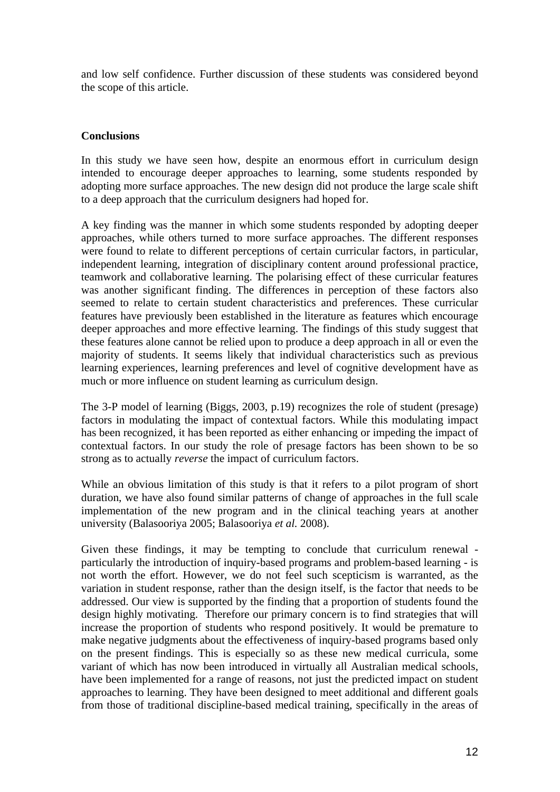and low self confidence. Further discussion of these students was considered beyond the scope of this article.

### **Conclusions**

In this study we have seen how, despite an enormous effort in curriculum design intended to encourage deeper approaches to learning, some students responded by adopting more surface approaches. The new design did not produce the large scale shift to a deep approach that the curriculum designers had hoped for.

A key finding was the manner in which some students responded by adopting deeper approaches, while others turned to more surface approaches. The different responses were found to relate to different perceptions of certain curricular factors, in particular, independent learning, integration of disciplinary content around professional practice, teamwork and collaborative learning. The polarising effect of these curricular features was another significant finding. The differences in perception of these factors also seemed to relate to certain student characteristics and preferences. These curricular features have previously been established in the literature as features which encourage deeper approaches and more effective learning. The findings of this study suggest that these features alone cannot be relied upon to produce a deep approach in all or even the majority of students. It seems likely that individual characteristics such as previous learning experiences, learning preferences and level of cognitive development have as much or more influence on student learning as curriculum design.

The 3-P model of learning (Biggs, 2003, p.19) recognizes the role of student (presage) factors in modulating the impact of contextual factors. While this modulating impact has been recognized, it has been reported as either enhancing or impeding the impact of contextual factors. In our study the role of presage factors has been shown to be so strong as to actually *reverse* the impact of curriculum factors.

While an obvious limitation of this study is that it refers to a pilot program of short duration, we have also found similar patterns of change of approaches in the full scale implementation of the new program and in the clinical teaching years at another university (Balasooriya 2005; Balasooriya *et al.* 2008).

Given these findings, it may be tempting to conclude that curriculum renewal particularly the introduction of inquiry-based programs and problem-based learning - is not worth the effort. However, we do not feel such scepticism is warranted, as the variation in student response, rather than the design itself, is the factor that needs to be addressed. Our view is supported by the finding that a proportion of students found the design highly motivating. Therefore our primary concern is to find strategies that will increase the proportion of students who respond positively. It would be premature to make negative judgments about the effectiveness of inquiry-based programs based only on the present findings. This is especially so as these new medical curricula, some variant of which has now been introduced in virtually all Australian medical schools, have been implemented for a range of reasons, not just the predicted impact on student approaches to learning. They have been designed to meet additional and different goals from those of traditional discipline-based medical training, specifically in the areas of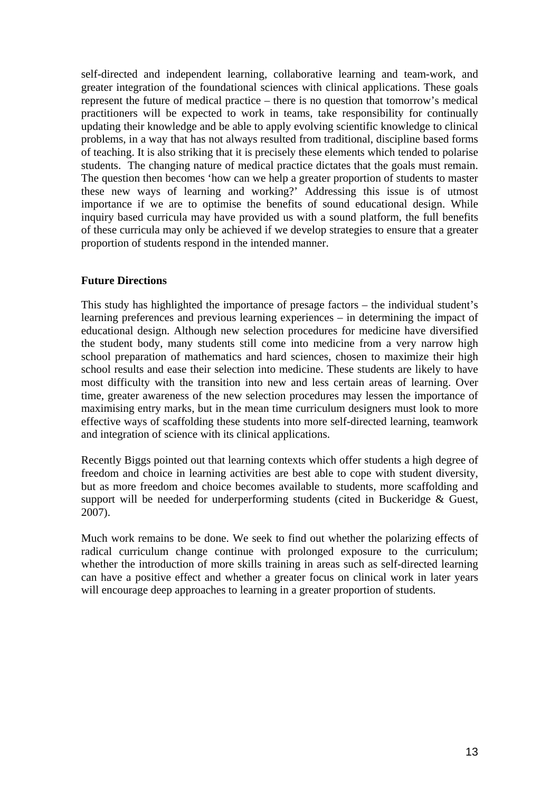self-directed and independent learning, collaborative learning and team-work, and greater integration of the foundational sciences with clinical applications. These goals represent the future of medical practice – there is no question that tomorrow's medical practitioners will be expected to work in teams, take responsibility for continually updating their knowledge and be able to apply evolving scientific knowledge to clinical problems, in a way that has not always resulted from traditional, discipline based forms of teaching. It is also striking that it is precisely these elements which tended to polarise students. The changing nature of medical practice dictates that the goals must remain. The question then becomes 'how can we help a greater proportion of students to master these new ways of learning and working?' Addressing this issue is of utmost importance if we are to optimise the benefits of sound educational design. While inquiry based curricula may have provided us with a sound platform, the full benefits of these curricula may only be achieved if we develop strategies to ensure that a greater proportion of students respond in the intended manner.

### **Future Directions**

This study has highlighted the importance of presage factors – the individual student's learning preferences and previous learning experiences – in determining the impact of educational design. Although new selection procedures for medicine have diversified the student body, many students still come into medicine from a very narrow high school preparation of mathematics and hard sciences, chosen to maximize their high school results and ease their selection into medicine. These students are likely to have most difficulty with the transition into new and less certain areas of learning. Over time, greater awareness of the new selection procedures may lessen the importance of maximising entry marks, but in the mean time curriculum designers must look to more effective ways of scaffolding these students into more self-directed learning, teamwork and integration of science with its clinical applications.

Recently Biggs pointed out that learning contexts which offer students a high degree of freedom and choice in learning activities are best able to cope with student diversity, but as more freedom and choice becomes available to students, more scaffolding and support will be needed for underperforming students (cited in Buckeridge & Guest, 2007).

Much work remains to be done. We seek to find out whether the polarizing effects of radical curriculum change continue with prolonged exposure to the curriculum; whether the introduction of more skills training in areas such as self-directed learning can have a positive effect and whether a greater focus on clinical work in later years will encourage deep approaches to learning in a greater proportion of students.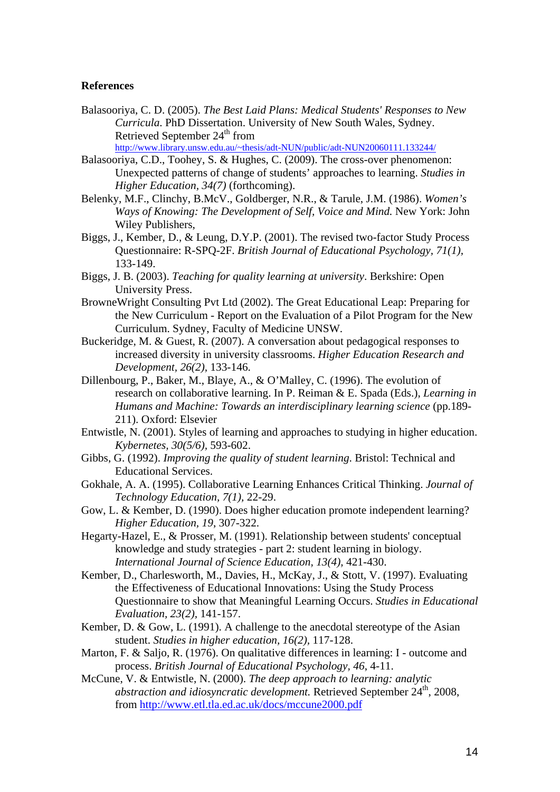#### **References**

- Balasooriya, C. D. (2005). *The Best Laid Plans: Medical Students' Responses to New Curricula*. PhD Dissertation. University of New South Wales, Sydney. Retrieved September 24<sup>th</sup> from
- [http://www.library.unsw.edu.au/~thesis/adt-NUN/public/adt-NUN20060111.133244/](http://www.library.unsw.edu.au/%7Ethesis/adt-NUN/public/adt-NUN20060111.133244/)
- Balasooriya, C.D., Toohey, S. & Hughes, C. (2009). The cross-over phenomenon: Unexpected patterns of change of students' approaches to learning. *Studies in Higher Education, 34(7)* (forthcoming).
- Belenky, M.F., Clinchy, B.McV., Goldberger, N.R., & Tarule, J.M. (1986). *Women's Ways of Knowing: The Development of Self, Voice and Mind.* New York: John Wiley Publishers,
- Biggs, J., Kember, D., & Leung, D.Y.P. (2001). The revised two-factor Study Process Questionnaire: R-SPQ-2F. *British Journal of Educational Psychology, 71(1),* 133-149.
- Biggs, J. B. (2003). *Teaching for quality learning at university*. Berkshire: Open University Press.
- BrowneWright Consulting Pvt Ltd (2002). The Great Educational Leap: Preparing for the New Curriculum - Report on the Evaluation of a Pilot Program for the New Curriculum. Sydney, Faculty of Medicine UNSW.
- Buckeridge, M. & Guest, R. (2007). A conversation about pedagogical responses to increased diversity in university classrooms. *Higher Education Research and Development, 26(2),* 133-146.
- Dillenbourg, P., Baker, M., Blaye, A., & O'Malley, C. (1996). The evolution of research on collaborative learning. In P. Reiman & E. Spada (Eds.), *Learning in Humans and Machine: Towards an interdisciplinary learning science* (pp.189- 211). Oxford: Elsevier
- Entwistle, N. (2001). Styles of learning and approaches to studying in higher education. *Kybernetes, 30(5/6),* 593-602.
- Gibbs, G. (1992). *Improving the quality of student learning*. Bristol: Technical and Educational Services.
- Gokhale, A. A. (1995). Collaborative Learning Enhances Critical Thinking. *Journal of Technology Education, 7(1),* 22-29.
- Gow, L. & Kember, D. (1990). Does higher education promote independent learning? *Higher Education, 19*, 307-322.
- Hegarty-Hazel, E., & Prosser, M. (1991). Relationship between students' conceptual knowledge and study strategies - part 2: student learning in biology. *International Journal of Science Education, 13(4),* 421-430.
- Kember, D., Charlesworth, M., Davies, H., McKay, J., & Stott, V. (1997). Evaluating the Effectiveness of Educational Innovations: Using the Study Process Questionnaire to show that Meaningful Learning Occurs. *Studies in Educational Evaluation, 23(2),* 141-157.
- Kember, D. & Gow, L. (1991). A challenge to the anecdotal stereotype of the Asian student. *Studies in higher education, 16(2),* 117-128.
- Marton, F. & Saljo, R. (1976). On qualitative differences in learning: I outcome and process. *British Journal of Educational Psychology, 46*, 4-11.
- McCune, V. & Entwistle, N. (2000). *The deep approach to learning: analytic abstraction and idiosyncratic development.* Retrieved September 24<sup>th</sup>, 2008, from <http://www.etl.tla.ed.ac.uk/docs/mccune2000.pdf>